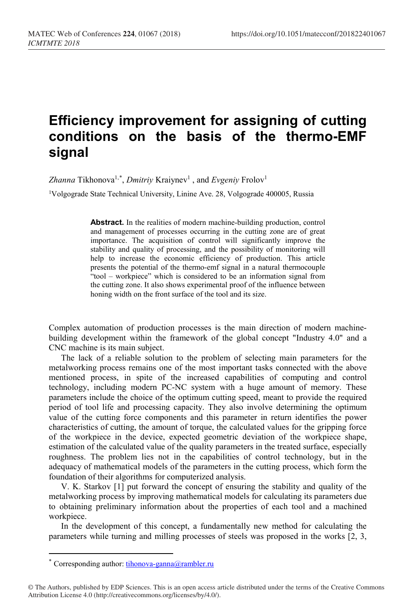## **Efficiency improvement for assigning of cutting conditions on the basis of the thermo-EMF signal**

Zhanna Tikhonova<sup>1,[\\*](#page-0-0)</sup>, *Dmitriy* Kraiynev<sup>1</sup>, and *Evgeniy* Frolov<sup>1</sup>

<sup>1</sup>Volgograde State Technical University, Linine Ave. 28, Volgograde 400005, Russia

Abstract. In the realities of modern machine-building production, control and management of processes occurring in the cutting zone are of great importance. The acquisition of control will significantly improve the stability and quality of processing, and the possibility of monitoring will help to increase the economic efficiency of production. This article presents the potential of the thermo-emf signal in a natural thermocouple "tool – workpiece" which is considered to be an information signal from the cutting zone. It also shows experimental proof of the influence between honing width on the front surface of the tool and its size.

Complex automation of production processes is the main direction of modern machinebuilding development within the framework of the global concept "Industry 4.0" and a CNC machine is its main subject.

The lack of a reliable solution to the problem of selecting main parameters for the metalworking process remains one of the most important tasks connected with the above mentioned process, in spite of the increased capabilities of computing and control technology, including modern PC-NC system with a huge amount of memory. These parameters include the choice of the optimum cutting speed, meant to provide the required period of tool life and processing capacity. They also involve determining the optimum value of the cutting force components and this parameter in return identifies the power characteristics of cutting, the amount of torque, the calculated values for the gripping force of the workpiece in the device, expected geometric deviation of the workpiece shape, estimation of the calculated value of the quality parameters in the treated surface, especially roughness. The problem lies not in the capabilities of control technology, but in the adequacy of mathematical models of the parameters in the cutting process, which form the foundation of their algorithms for computerized analysis.

V. K. Starkov [1] put forward the concept of ensuring the stability and quality of the metalworking process by improving mathematical models for calculating its parameters due to obtaining preliminary information about the properties of each tool and a machined workpiece.

In the development of this concept, a fundamentally new method for calculating the parameters while turning and milling processes of steels was proposed in the works [2, 3,

 $\overline{a}$ 

<sup>\*</sup> Corresponding author: [tihonova-ganna@rambler.ru](mailto:tihonova-ganna@rambler.ru)

<span id="page-0-0"></span><sup>©</sup> The Authors, published by EDP Sciences. This is an open access article distributed under the terms of the Creative Commons Attribution License 4.0 (http://creativecommons.org/licenses/by/4.0/).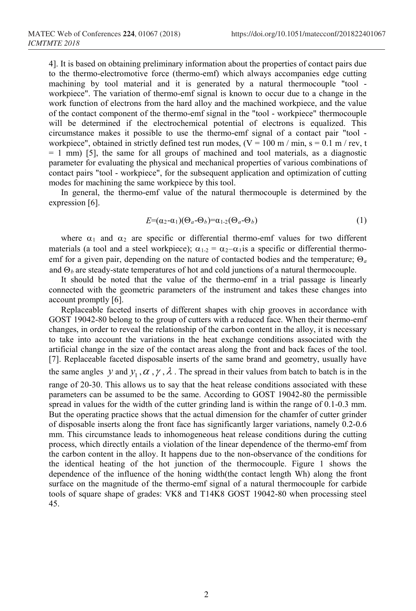4]. It is based on obtaining preliminary information about the properties of contact pairs due to the thermo-electromotive force (thermo-emf) which always accompanies edge cutting machining by tool material and it is generated by a natural thermocouple "tool workpiece". The variation of thermo-emf signal is known to occur due to a change in the work function of electrons from the hard alloy and the machined workpiece, and the value of the contact component of the thermo-emf signal in the "tool - workpiece" thermocouple will be determined if the electrochemical potential of electrons is equalized. This circumstance makes it possible to use the thermo-emf signal of a contact pair "tool workpiece", obtained in strictly defined test run modes,  $(V = 100 \text{ m/mm})$ , s = 0.1 m/rev, t  $= 1$  mm) [5], the same for all groups of machined and tool materials, as a diagnostic parameter for evaluating the physical and mechanical properties of various combinations of contact pairs "tool - workpiece", for the subsequent application and optimization of cutting modes for machining the same workpiece by this tool.

In general, the thermo-emf value of the natural thermocouple is determined by the expression [6].

$$
E=(\alpha_2-\alpha_1)(\Theta_a-\Theta_b)=\alpha_{1\cdot 2}(\Theta_a-\Theta_b)
$$
\n(1)

where  $\alpha_1$  and  $\alpha_2$  are specific or differential thermo-emf values for two different materials (a tool and a steel workpiece);  $\alpha_{1-2} = \alpha_2 - \alpha_1$  is a specific or differential thermoemf for a given pair, depending on the nature of contacted bodies and the temperature; Θ*<sup>a</sup>* and  $\Theta_b$  are steady-state temperatures of hot and cold junctions of a natural thermocouple.

It should be noted that the value of the thermo-emf in a trial passage is linearly connected with the geometric parameters of the instrument and takes these changes into account promptly [6].

Replaceable faceted inserts of different shapes with chip grooves in accordance with GOST 19042-80 belong to the group of cutters with a reduced face. When their thermo-emf changes, in order to reveal the relationship of the carbon content in the alloy, it is necessary to take into account the variations in the heat exchange conditions associated with the artificial change in the size of the contact areas along the front and back faces of the tool. [7]. Replaceable faceted disposable inserts of the same brand and geometry, usually have the same angles *y* and  $y_1$ ,  $\alpha$ ,  $\gamma$ ,  $\lambda$ . The spread in their values from batch to batch is in the range of 20-30. This allows us to say that the heat release conditions associated with these parameters can be assumed to be the same. According to GOST 19042-80 the permissible spread in values for the width of the сutter grinding land is within the range of 0.1-0.3 mm. But the operating practice shows that the actual dimension for the chamfer of cutter grinder of disposable inserts along the front face has significantly larger variations, namely 0.2-0.6 mm. This circumstance leads to inhomogeneous heat release conditions during the cutting process, which directly entails a violation of the linear dependence of the thermo-emf from the carbon content in the alloy. It happens due to the non-observance of the conditions for the identical heating of the hot junction of the thermocouple. Figure 1 shows the dependence of the influence of the honing width(the contact length Wh) along the front surface on the magnitude of the thermo-emf signal of a natural thermocouple for carbide tools of square shape of grades: VK8 and T14K8 GOST 19042-80 when processing steel 45.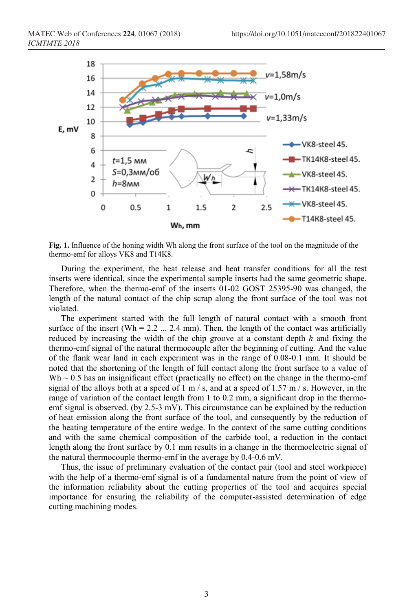

**Fig. 1.** Influence of the honing width Wh along the front surface of the tool on the magnitude of the thermo-emf for alloys VK8 and T14K8.

During the experiment, the heat release and heat transfer conditions for all the test inserts were identical, since the experimental sample inserts had the same geometric shape. Therefore, when the thermo-emf of the inserts 01-02 GOST 25395-90 was changed, the length of the natural contact of the chip scrap along the front surface of the tool was not violated.

The experiment started with the full length of natural contact with a smooth front surface of the insert (Wh =  $2.2$  ... 2.4 mm). Then, the length of the contact was artificially reduced by increasing the width of the chip groove at a constant depth *h* and fixing the thermo-emf signal of the natural thermocouple after the beginning of cutting. And the value of the flank wear land in each experiment was in the range of 0.08-0.1 mm. It should be noted that the shortening of the length of full contact along the front surface to a value of  $Wh \sim 0.5$  has an insignificant effect (practically no effect) on the change in the thermo-emf signal of the alloys both at a speed of  $1 \text{ m}$  / s, and at a speed of 1.57 m / s. However, in the range of variation of the contact length from 1 to 0.2 mm, a significant drop in the thermoemf signal is observed. (by 2.5-3 mV). This circumstance can be explained by the reduction of heat emission along the front surface of the tool, and consequently by the reduction of the heating temperature of the entire wedge. In the context of the same cutting conditions and with the same chemical composition of the carbide tool, a reduction in the contact length along the front surface by 0.1 mm results in a change in the thermoelectric signal of the natural thermocouple thermo-emf in the average by 0.4-0.6 mV.

Thus, the issue of preliminary evaluation of the contact pair (tool and steel workpiece) with the help of a thermo-emf signal is of a fundamental nature from the point of view of the information reliability about the cutting properties of the tool and acquires special importance for ensuring the reliability of the computer-assisted determination of edge cutting machining modes.